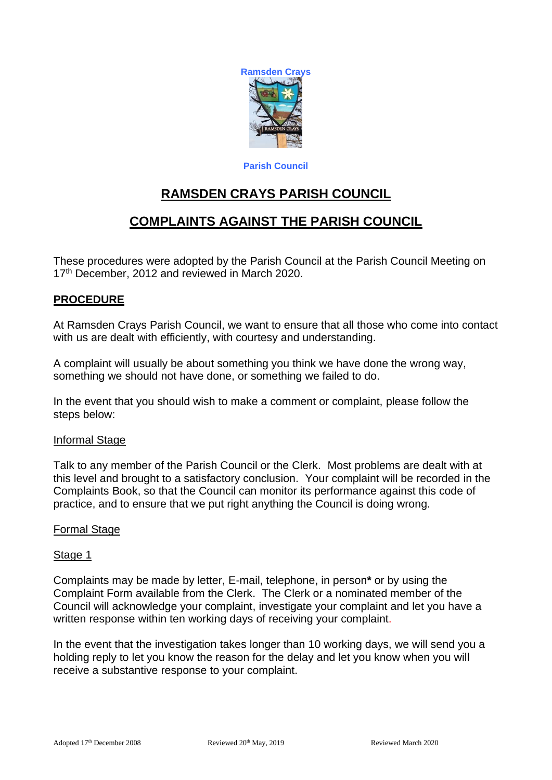

**Parish Council**

# **RAMSDEN CRAYS PARISH COUNCIL**

# **COMPLAINTS AGAINST THE PARISH COUNCIL**

These procedures were adopted by the Parish Council at the Parish Council Meeting on 17<sup>th</sup> December, 2012 and reviewed in March 2020.

# **PROCEDURE**

At Ramsden Crays Parish Council, we want to ensure that all those who come into contact with us are dealt with efficiently, with courtesy and understanding.

A complaint will usually be about something you think we have done the wrong way, something we should not have done, or something we failed to do.

In the event that you should wish to make a comment or complaint, please follow the steps below:

### Informal Stage

Talk to any member of the Parish Council or the Clerk. Most problems are dealt with at this level and brought to a satisfactory conclusion. Your complaint will be recorded in the Complaints Book, so that the Council can monitor its performance against this code of practice, and to ensure that we put right anything the Council is doing wrong.

### Formal Stage

### Stage 1

Complaints may be made by letter, E-mail, telephone, in person**\*** or by using the Complaint Form available from the Clerk. The Clerk or a nominated member of the Council will acknowledge your complaint, investigate your complaint and let you have a written response within ten working days of receiving your complaint.

In the event that the investigation takes longer than 10 working days, we will send you a holding reply to let you know the reason for the delay and let you know when you will receive a substantive response to your complaint.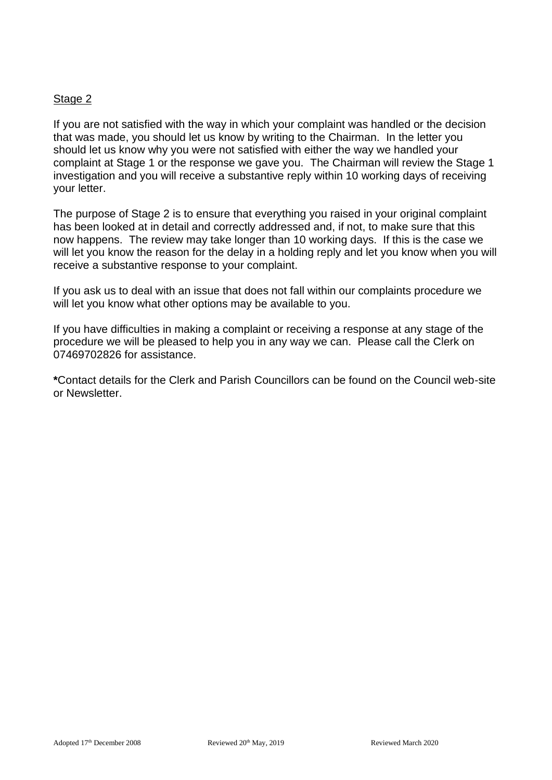## Stage 2

If you are not satisfied with the way in which your complaint was handled or the decision that was made, you should let us know by writing to the Chairman. In the letter you should let us know why you were not satisfied with either the way we handled your complaint at Stage 1 or the response we gave you. The Chairman will review the Stage 1 investigation and you will receive a substantive reply within 10 working days of receiving your letter.

The purpose of Stage 2 is to ensure that everything you raised in your original complaint has been looked at in detail and correctly addressed and, if not, to make sure that this now happens. The review may take longer than 10 working days. If this is the case we will let you know the reason for the delay in a holding reply and let you know when you will receive a substantive response to your complaint.

If you ask us to deal with an issue that does not fall within our complaints procedure we will let you know what other options may be available to you.

If you have difficulties in making a complaint or receiving a response at any stage of the procedure we will be pleased to help you in any way we can. Please call the Clerk on 07469702826 for assistance.

**\***Contact details for the Clerk and Parish Councillors can be found on the Council web-site or Newsletter.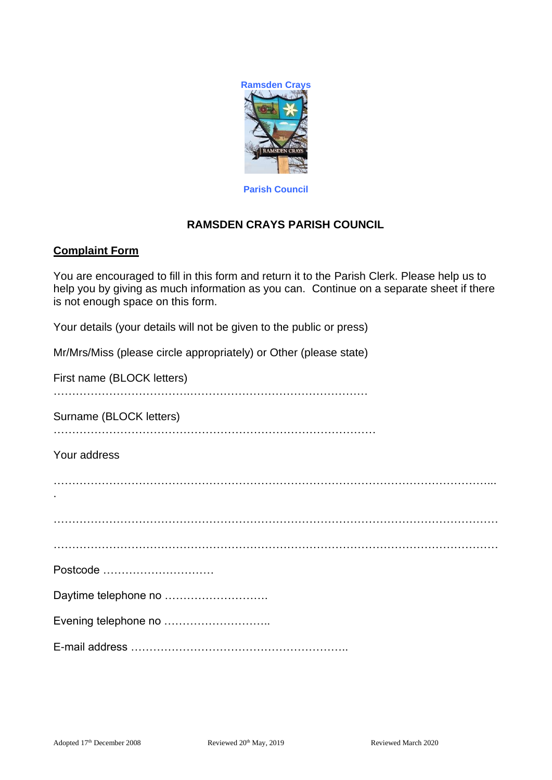

**Parish Council**

# **RAMSDEN CRAYS PARISH COUNCIL**

## **Complaint Form**

You are encouraged to fill in this form and return it to the Parish Clerk. Please help us to help you by giving as much information as you can. Continue on a separate sheet if there is not enough space on this form.

Your details (your details will not be given to the public or press)

Mr/Mrs/Miss (please circle appropriately) or Other (please state)

First name (BLOCK letters)

……………………………….…………………………………………

Surname (BLOCK letters)

……………………………………………………………………………

Your address

| Postcode             |
|----------------------|
| Daytime telephone no |
| Evening telephone no |
|                      |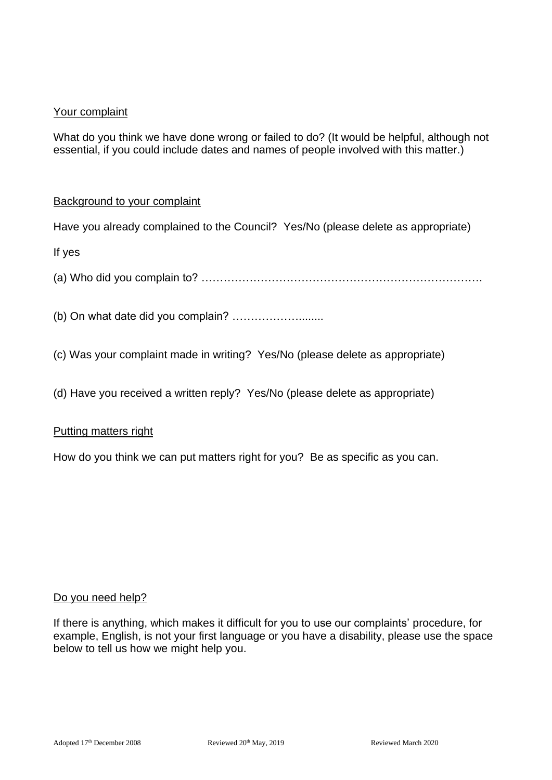# Your complaint

What do you think we have done wrong or failed to do? (It would be helpful, although not essential, if you could include dates and names of people involved with this matter.)

## Background to your complaint

Have you already complained to the Council? Yes/No (please delete as appropriate)

If yes

(a) Who did you complain to? ………………………………………………………………….

(b) On what date did you complain? ………………........

(c) Was your complaint made in writing? Yes/No (please delete as appropriate)

(d) Have you received a written reply? Yes/No (please delete as appropriate)

### Putting matters right

How do you think we can put matters right for you? Be as specific as you can.

### Do you need help?

If there is anything, which makes it difficult for you to use our complaints' procedure, for example, English, is not your first language or you have a disability, please use the space below to tell us how we might help you.